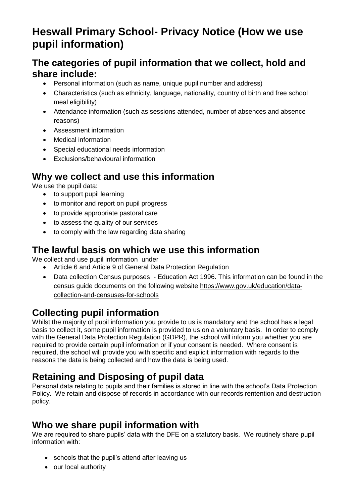# **Heswall Primary School- Privacy Notice (How we use pupil information)**

## **The categories of pupil information that we collect, hold and share include:**

- Personal information (such as name, unique pupil number and address)
- Characteristics (such as ethnicity, language, nationality, country of birth and free school meal eligibility)
- Attendance information (such as sessions attended, number of absences and absence reasons)
- Assessment information
- Medical information
- Special educational needs information
- Exclusions/behavioural information

#### **Why we collect and use this information**

We use the pupil data:

- to support pupil learning
- to monitor and report on pupil progress
- to provide appropriate pastoral care
- to assess the quality of our services
- to comply with the law regarding data sharing

#### **The lawful basis on which we use this information**

We collect and use pupil information under

- Article 6 and Article 9 of General Data Protection Regulation
- Data collection Census purposes Education Act 1996. This information can be found in the census guide documents on the following website [https://www.gov.uk/education/data](https://www.gov.uk/education/data-collection-and-censuses-for-schools)[collection-and-censuses-for-schools](https://www.gov.uk/education/data-collection-and-censuses-for-schools)

# **Collecting pupil information**

Whilst the majority of pupil information you provide to us is mandatory and the school has a legal basis to collect it, some pupil information is provided to us on a voluntary basis. In order to comply with the General Data Protection Regulation (GDPR), the school will inform you whether you are required to provide certain pupil information or if your consent is needed. Where consent is required, the school will provide you with specific and explicit information with regards to the reasons the data is being collected and how the data is being used.

# **Retaining and Disposing of pupil data**

Personal data relating to pupils and their families is stored in line with the school's Data Protection Policy. We retain and dispose of records in accordance with our records rentention and destruction policy.

## **Who we share pupil information with**

We are required to share pupils' data with the DFE on a statutory basis. We routinely share pupil information with:

- schools that the pupil's attend after leaving us
- our local authority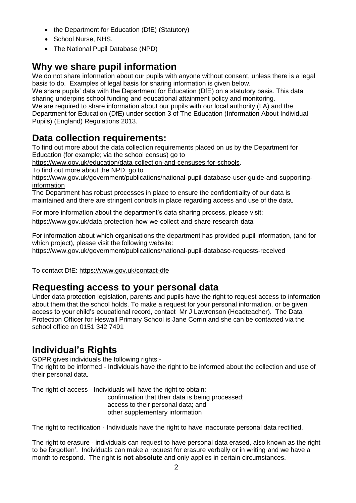- the Department for Education (DfE) (Statutory)
- School Nurse, NHS.
- The National Pupil Database (NPD)

# **Why we share pupil information**

We do not share information about our pupils with anyone without consent, unless there is a legal basis to do. Examples of legal basis for sharing information is given below.

We share pupils' data with the Department for Education (DfE) on a statutory basis. This data sharing underpins school funding and educational attainment policy and monitoring. We are required to share information about our pupils with our local authority (LA) and the Department for Education (DfE) under section 3 of The Education (Information About Individual Pupils) (England) Regulations 2013.

## **Data collection requirements:**

To find out more about the data collection requirements placed on us by the Department for Education (for example; via the school census) go to

[https://www.gov.uk/education/data-collection-and-censuses-for-schools.](https://www.gov.uk/education/data-collection-and-censuses-for-schools)

To find out more about the NPD, go to

[https://www.gov.uk/government/publications/national-pupil-database-user-guide-and-supporting](https://www.gov.uk/government/publications/national-pupil-database-user-guide-and-supporting-information)[information](https://www.gov.uk/government/publications/national-pupil-database-user-guide-and-supporting-information)

The Department has robust processes in place to ensure the confidentiality of our data is maintained and there are stringent controls in place regarding access and use of the data.

For more information about the department's data sharing process, please visit: <https://www.gov.uk/data-protection-how-we-collect-and-share-research-data>

For information about which organisations the department has provided pupil information, (and for which project), please visit the following website:

<https://www.gov.uk/government/publications/national-pupil-database-requests-received>

To contact DfE:<https://www.gov.uk/contact-dfe>

#### **Requesting access to your personal data**

Under data protection legislation, parents and pupils have the right to request access to information about them that the school holds. To make a request for your personal information, or be given access to your child's educational record, contact Mr J Lawrenson (Headteacher). The Data Protection Officer for Heswall Primary School is Jane Corrin and she can be contacted via the school office on 0151 342 7491

## **Individual's Rights**

GDPR gives individuals the following rights:-

The right to be informed - Individuals have the right to be informed about the collection and use of their personal data.

The right of access - Individuals will have the right to obtain:

confirmation that their data is being processed; access to their personal data; and other supplementary information

The right to rectification - Individuals have the right to have inaccurate personal data rectified.

The right to erasure - individuals can request to have personal data erased, also known as the right to be forgotten'. Individuals can make a request for erasure verbally or in writing and we have a month to respond. The right is **not absolute** and only applies in certain circumstances.